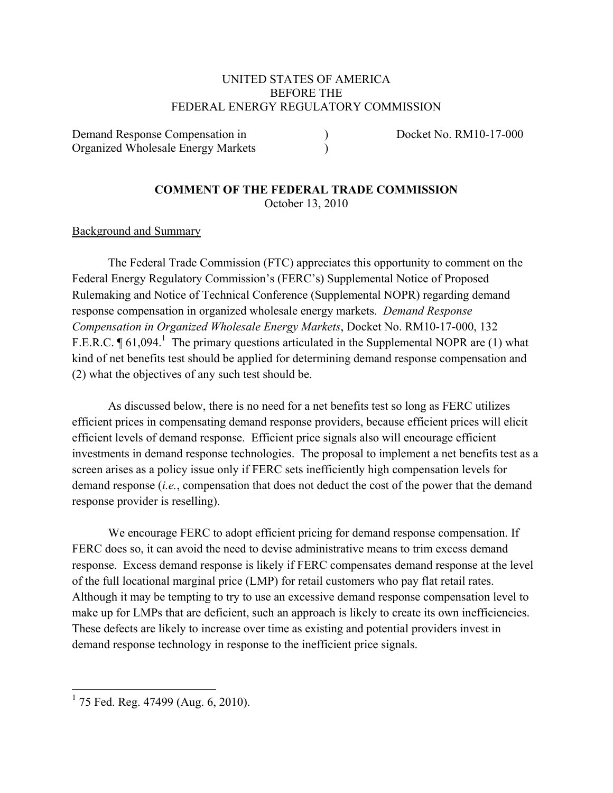## UNITED STATES OF AMERICA BEFORE THE FEDERAL ENERGY REGULATORY COMMISSION

Demand Response Compensation in ) Docket No. RM10-17-000 Organized Wholesale Energy Markets )

#### **COMMENT OF THE FEDERAL TRADE COMMISSION**  October 13, 2010

## Background and Summary

The Federal Trade Commission (FTC) appreciates this opportunity to comment on the Federal Energy Regulatory Commission's (FERC's) Supplemental Notice of Proposed Rulemaking and Notice of Technical Conference (Supplemental NOPR) regarding demand response compensation in organized wholesale energy markets. *Demand Response Compensation in Organized Wholesale Energy Markets*, Docket No. RM10-17-000, 132 F.E.R.C.  $\P$  61,094.<sup>1</sup> The primary questions articulated in the Supplemental NOPR are (1) what kind of net benefits test should be applied for determining demand response compensation and (2) what the objectives of any such test should be.

As discussed below, there is no need for a net benefits test so long as FERC utilizes efficient prices in compensating demand response providers, because efficient prices will elicit efficient levels of demand response. Efficient price signals also will encourage efficient investments in demand response technologies. The proposal to implement a net benefits test as a screen arises as a policy issue only if FERC sets inefficiently high compensation levels for demand response (*i.e.*, compensation that does not deduct the cost of the power that the demand response provider is reselling).

We encourage FERC to adopt efficient pricing for demand response compensation. If FERC does so, it can avoid the need to devise administrative means to trim excess demand response. Excess demand response is likely if FERC compensates demand response at the level of the full locational marginal price (LMP) for retail customers who pay flat retail rates. Although it may be tempting to try to use an excessive demand response compensation level to make up for LMPs that are deficient, such an approach is likely to create its own inefficiencies. These defects are likely to increase over time as existing and potential providers invest in demand response technology in response to the inefficient price signals.

 1 75 Fed. Reg. 47499 (Aug. 6, 2010).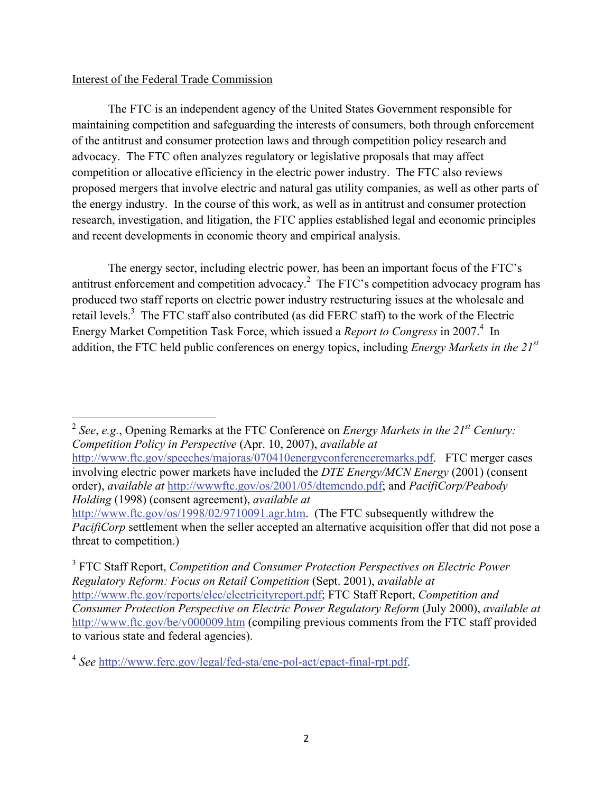# Interest of the Federal Trade Commission

 The FTC is an independent agency of the United States Government responsible for maintaining competition and safeguarding the interests of consumers, both through enforcement of the antitrust and consumer protection laws and through competition policy research and advocacy. The FTC often analyzes regulatory or legislative proposals that may affect competition or allocative efficiency in the electric power industry. The FTC also reviews proposed mergers that involve electric and natural gas utility companies, as well as other parts of the energy industry. In the course of this work, as well as in antitrust and consumer protection research, investigation, and litigation, the FTC applies established legal and economic principles and recent developments in economic theory and empirical analysis.

 The energy sector, including electric power, has been an important focus of the FTC's antitrust enforcement and competition advocacy.<sup>2</sup> The FTC's competition advocacy program has produced two staff reports on electric power industry restructuring issues at the wholesale and retail levels.<sup>3</sup> The FTC staff also contributed (as did FERC staff) to the work of the Electric Energy Market Competition Task Force, which issued a *Report to Congress* in 2007.<sup>4</sup> In addition, the FTC held public conferences on energy topics, including *Energy Markets in the 21st*

 <sup>2</sup> *See*, *e.g.*, Opening Remarks at the FTC Conference on *Energy Markets in the 21st Century: Competition Policy in Perspective* (Apr. 10, 2007), *available at*

http://www.ftc.gov/speeches/majoras/070410energyconferenceremarks.pdf. FTC merger cases involving electric power markets have included the *DTE Energy/MCN Energy* (2001) (consent order), *available at* http://wwwftc.gov/os/2001/05/dtemcndo.pdf; and *PacifiCorp/Peabody Holding* (1998) (consent agreement), *available at*

http://www.ftc.gov/os/1998/02/9710091.agr.htm. (The FTC subsequently withdrew the *PacifiCorp* settlement when the seller accepted an alternative acquisition offer that did not pose a threat to competition.)

3 FTC Staff Report, *Competition and Consumer Protection Perspectives on Electric Power Regulatory Reform: Focus on Retail Competition* (Sept. 2001), *available at* http://www.ftc.gov/reports/elec/electricityreport.pdf; FTC Staff Report, *Competition and Consumer Protection Perspective on Electric Power Regulatory Reform* (July 2000), *available at* http://www.ftc.gov/be/v000009.htm (compiling previous comments from the FTC staff provided to various state and federal agencies).

<sup>4</sup> *See* http://www.ferc.gov/legal/fed-sta/ene-pol-act/epact-final-rpt.pdf.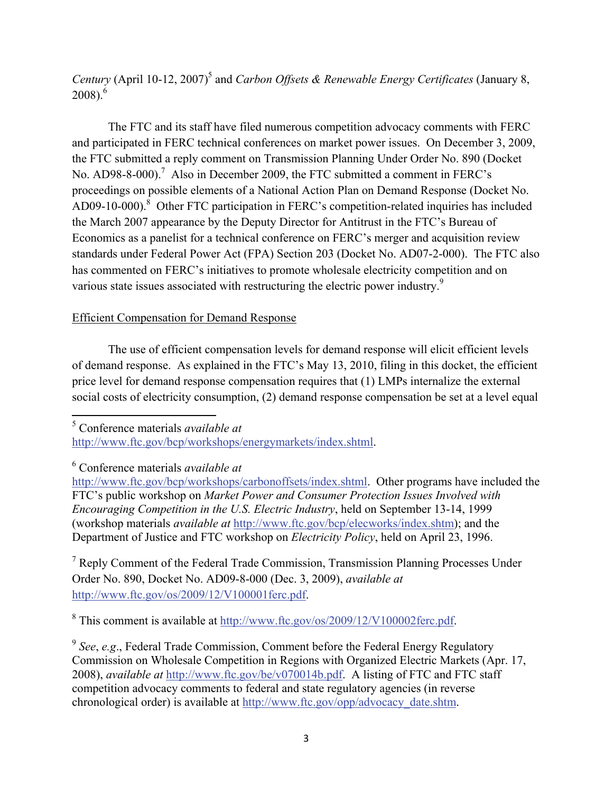*Century* (April 10-12, 2007)<sup>5</sup> and *Carbon Offsets & Renewable Energy Certificates* (January 8,  $2008$ ).<sup>6</sup>

The FTC and its staff have filed numerous competition advocacy comments with FERC and participated in FERC technical conferences on market power issues. On December 3, 2009, the FTC submitted a reply comment on Transmission Planning Under Order No. 890 (Docket No. AD98-8-000).<sup>7</sup> Also in December 2009, the FTC submitted a comment in FERC's proceedings on possible elements of a National Action Plan on Demand Response (Docket No. AD09-10-000).<sup>8</sup> Other FTC participation in FERC's competition-related inquiries has included the March 2007 appearance by the Deputy Director for Antitrust in the FTC's Bureau of Economics as a panelist for a technical conference on FERC's merger and acquisition review standards under Federal Power Act (FPA) Section 203 (Docket No. AD07-2-000). The FTC also has commented on FERC's initiatives to promote wholesale electricity competition and on various state issues associated with restructuring the electric power industry.<sup>9</sup>

# Efficient Compensation for Demand Response

 The use of efficient compensation levels for demand response will elicit efficient levels of demand response. As explained in the FTC's May 13, 2010, filing in this docket, the efficient price level for demand response compensation requires that (1) LMPs internalize the external social costs of electricity consumption, (2) demand response compensation be set at a level equal

5 Conference materials *available at* http://www.ftc.gov/bcp/workshops/energymarkets/index.shtml.

6 Conference materials *available at*

<sup>7</sup> Reply Comment of the Federal Trade Commission, Transmission Planning Processes Under Order No. 890, Docket No. AD09-8-000 (Dec. 3, 2009), *available at* http://www.ftc.gov/os/2009/12/V100001ferc.pdf.

<sup>8</sup> This comment is available at  $\frac{http://www.ftc.gov/os/2009/12/V100002ferc.pdf}{$ .

<sup>9</sup> *See*, *e.g*., Federal Trade Commission, Comment before the Federal Energy Regulatory Commission on Wholesale Competition in Regions with Organized Electric Markets (Apr. 17, 2008), *available at* http://www.ftc.gov/be/v070014b.pdf. A listing of FTC and FTC staff competition advocacy comments to federal and state regulatory agencies (in reverse chronological order) is available at http://www.ftc.gov/opp/advocacy\_date.shtm.

http://www.ftc.gov/bcp/workshops/carbonoffsets/index.shtml. Other programs have included the FTC's public workshop on *Market Power and Consumer Protection Issues Involved with Encouraging Competition in the U.S. Electric Industry*, held on September 13-14, 1999 (workshop materials *available at* http://www.ftc.gov/bcp/elecworks/index.shtm); and the Department of Justice and FTC workshop on *Electricity Policy*, held on April 23, 1996.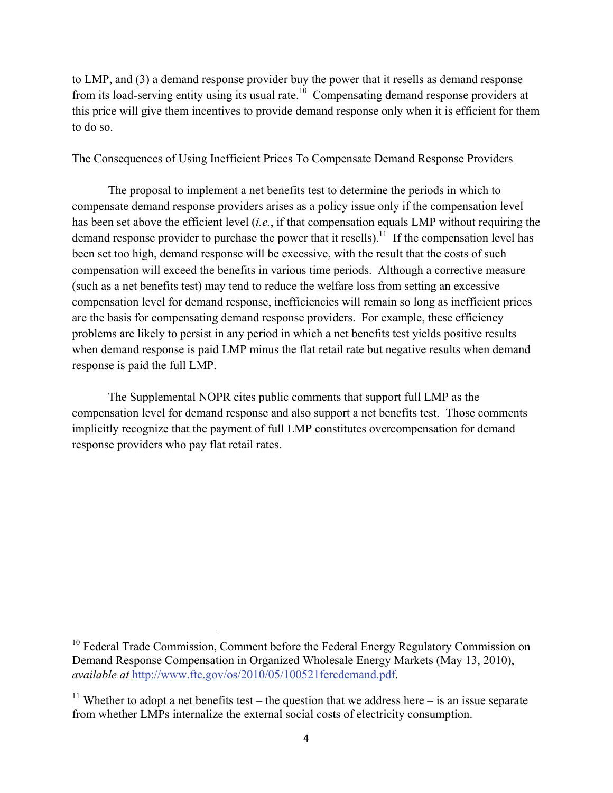to LMP, and (3) a demand response provider buy the power that it resells as demand response from its load-serving entity using its usual rate.<sup>10</sup> Compensating demand response providers at this price will give them incentives to provide demand response only when it is efficient for them to do so.

# The Consequences of Using Inefficient Prices To Compensate Demand Response Providers

The proposal to implement a net benefits test to determine the periods in which to compensate demand response providers arises as a policy issue only if the compensation level has been set above the efficient level (*i.e.*, if that compensation equals LMP without requiring the demand response provider to purchase the power that it resells).<sup>11</sup> If the compensation level has been set too high, demand response will be excessive, with the result that the costs of such compensation will exceed the benefits in various time periods. Although a corrective measure (such as a net benefits test) may tend to reduce the welfare loss from setting an excessive compensation level for demand response, inefficiencies will remain so long as inefficient prices are the basis for compensating demand response providers. For example, these efficiency problems are likely to persist in any period in which a net benefits test yields positive results when demand response is paid LMP minus the flat retail rate but negative results when demand response is paid the full LMP.

The Supplemental NOPR cites public comments that support full LMP as the compensation level for demand response and also support a net benefits test. Those comments implicitly recognize that the payment of full LMP constitutes overcompensation for demand response providers who pay flat retail rates.

 $10$  Federal Trade Commission, Comment before the Federal Energy Regulatory Commission on Demand Response Compensation in Organized Wholesale Energy Markets (May 13, 2010), *available at* http://www.ftc.gov/os/2010/05/100521fercdemand.pdf.

<sup>&</sup>lt;sup>11</sup> Whether to adopt a net benefits test – the question that we address here – is an issue separate from whether LMPs internalize the external social costs of electricity consumption.